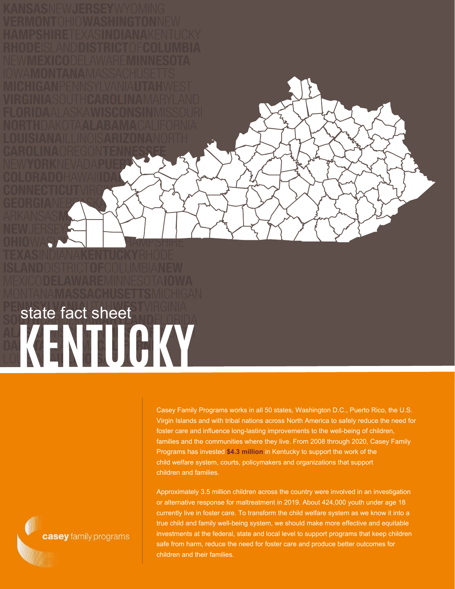## **KENTUCKY** state fact sheet

Casey Family Programs works in all 50 states, Washington D.C., Puerto Rico, the U.S. Virgin Islands and with tribal nations across North America to safely reduce the need for foster care and influence long-lasting improvements to the well-being of children, families and the communities where they live. From 2008 through 2020, Casey Family Programs has invested **\$4.3 million** in Kentucky to support the work of the child welfare system, courts, policymakers and organizations that support children and families.

Approximately 3.5 million children across the country were involved in an investigation or alternative response for maltreatment in 2019. About 424,000 youth under age 18 currently live in foster care. To transform the child welfare system as we know it into a true child and family well-being system, we should make more effective and equitable investments at the federal, state and local level to support programs that keep children safe from harm, reduce the need for foster care and produce better outcomes for children and their families.

casey family programs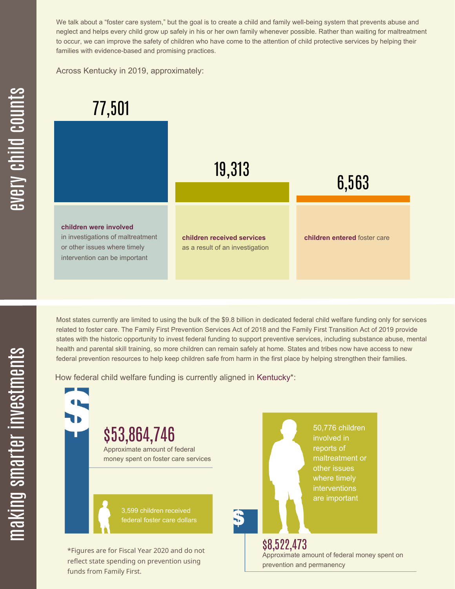We talk about a "foster care system," but the goal is to create a child and family well-being system that prevents abuse and neglect and helps every child grow up safely in his or her own family whenever possible. Rather than waiting for maltreatment to occur, we can improve the safety of children who have come to the attention of child protective services by helping their families with evidence-based and promising practices.

Across Kentucky in 2019, approximately:



Most states currently are limited to using the bulk of the \$9.8 billion in dedicated federal child welfare funding only for services related to foster care. The Family First Prevention Services Act of 2018 and the Family First Transition Act of 2019 provide states with the historic opportunity to invest federal funding to support preventive services, including substance abuse, mental health and parental skill training, so more children can remain safely at home. States and tribes now have access to new federal prevention resources to help keep children safe from harm in the first place by helping strengthen their families.

How federal child welfare funding is currently aligned in Kentucky\*:

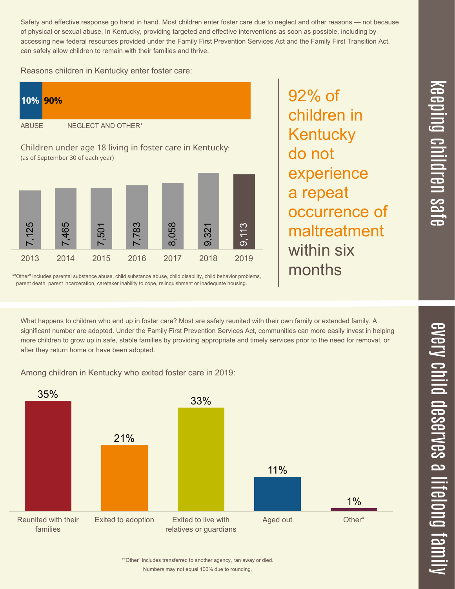Safety and effective response go hand in hand. Most children enter foster care due to neglect and other reasons — not because of physical or sexual abuse. In Kentucky, providing targeted and effective interventions as soon as possible, including by accessing new federal resources provided under the Family First Prevention Services Act and the Family First Transition Act, can safely allow children to remain with their families and thrive.

Reasons children in Kentucky enter foster care:



\*"Other" includes parental substance abuse, child substance abuse, child disability, child behavior problems, parent death, parent incarceration, caretaker inability to cope, relinquishment or inadequate housing.

92% of children in **Kentucky** do not experience a repeat occurrence of maltreatment within six months

 $\overline{\mathbf \Theta}$  $\overline{\mathbf{C}}$ <u>pin</u>  $\overline{\mathbf{C}}$  $\overline{\mathbf{C}}$  $\equiv$  $\overline{\mathbf{c}}$  $\overline{\phantom{0}}$  $\boldsymbol{\mathcal{O}}$ a  $\overrightarrow{\mathbf{e}}$ 

 $\overline{\phantom{1}}$ 

What happens to children who end up in foster care? Most are safely reunited with their own family or extended family. A significant number are adopted. Under the Family First Prevention Services Act, communities can more easily invest in helping more children to grow up in safe, stable families by providing appropriate and timely services prior to the need for removal, or after they return home or have been adopted.

Among children in Kentucky who exited foster care in 2019: